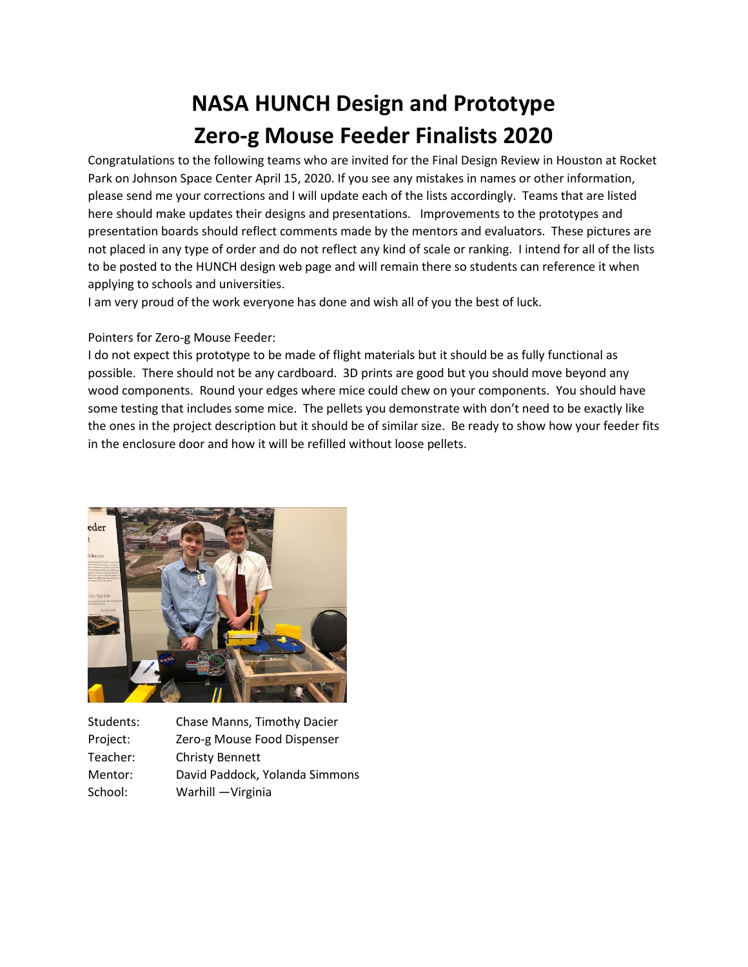## **NASA HUNCH Design and Prototype Zero-g Mouse Feeder Finalists 2020**

Congratulations to the following teams who are invited for the Final Design Review in Houston at Rocket Park on Johnson Space Center April 15, 2020. If you see any mistakes in names or other information, please send me your corrections and I will update each of the lists accordingly. Teams that are listed here should make updates their designs and presentations. Improvements to the prototypes and presentation boards should reflect comments made by the mentors and evaluators. These pictures are not placed in any type of order and do not reflect any kind of scale or ranking. I intend for all of the lists to be posted to the HUNCH design web page and will remain there so students can reference it when applying to schools and universities.

I am very proud of the work everyone has done and wish all of you the best of luck.

## Pointers for Zero-g Mouse Feeder:

I do not expect this prototype to be made of flight materials but it should be as fully functional as possible. There should not be any cardboard. 3D prints are good but you should move beyond any wood components. Round your edges where mice could chew on your components. You should have some testing that includes some mice. The pellets you demonstrate with don't need to be exactly like the ones in the project description but it should be of similar size. Be ready to show how your feeder fits in the enclosure door and how it will be refilled without loose pellets.



| Students: | Chase Manns, Timothy Dacier    |
|-----------|--------------------------------|
| Project:  | Zero-g Mouse Food Dispenser    |
| Teacher:  | <b>Christy Bennett</b>         |
| Mentor:   | David Paddock, Yolanda Simmons |
| School:   | Warhill -Virginia              |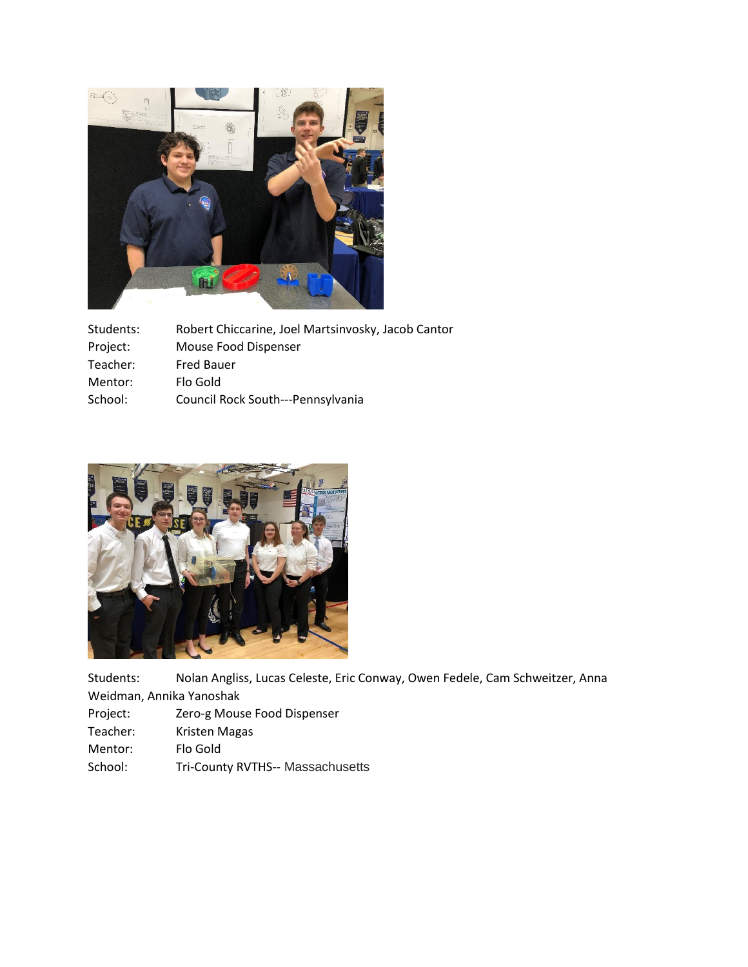

| Students: | Robert Chiccarine, Joel Martsinvosky, Jacob Cantor |
|-----------|----------------------------------------------------|
| Project:  | Mouse Food Dispenser                               |
| Teacher:  | <b>Fred Bauer</b>                                  |
| Mentor:   | Flo Gold                                           |
| School:   | Council Rock South---Pennsylvania                  |



Students: Nolan Angliss, Lucas Celeste, Eric Conway, Owen Fedele, Cam Schweitzer, Anna Weidman, Annika Yanoshak

- Project: Zero-g Mouse Food Dispenser
- Teacher: Kristen Magas
- Mentor: Flo Gold
- School: Tri-County RVTHS-- Massachusetts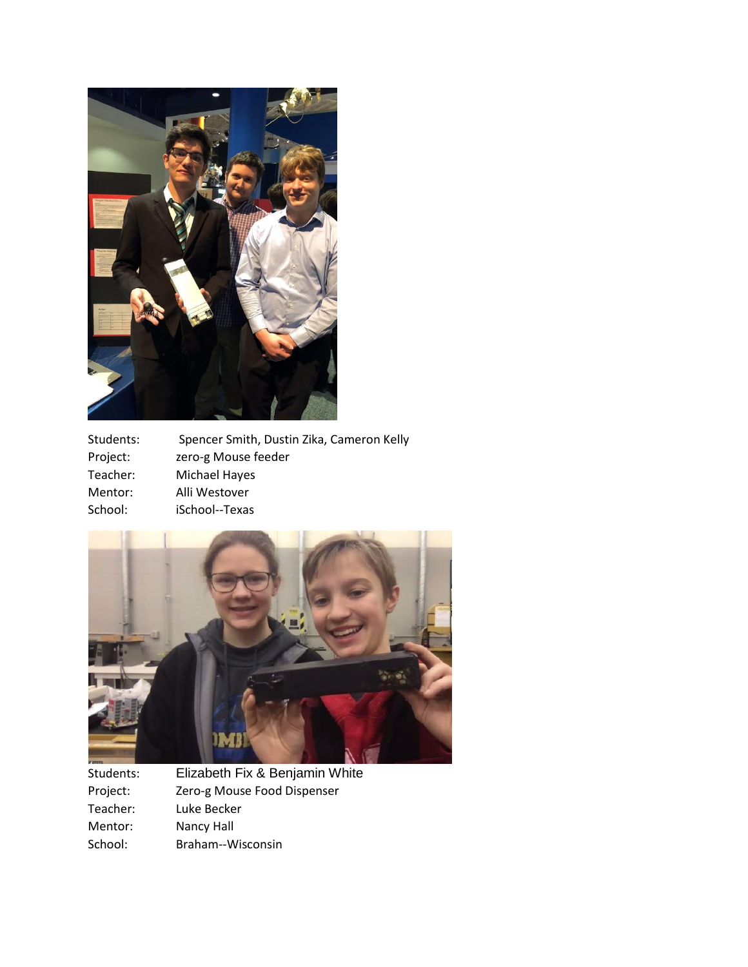

| Students: | Spencer Smith, Dustin Zika, Cameron Kelly |
|-----------|-------------------------------------------|
| Project:  | zero-g Mouse feeder                       |
| Teacher:  | Michael Hayes                             |
| Mentor:   | Alli Westover                             |
| School:   | iSchool--Texas                            |



Students: Elizabeth Fix & Benjamin White Project: Zero-g Mouse Food Dispenser<br>Teacher: Luke Becker Teacher: Luke Becker<br>
Mentor: Nancy Hall Nancy Hall School: Braham--Wisconsin